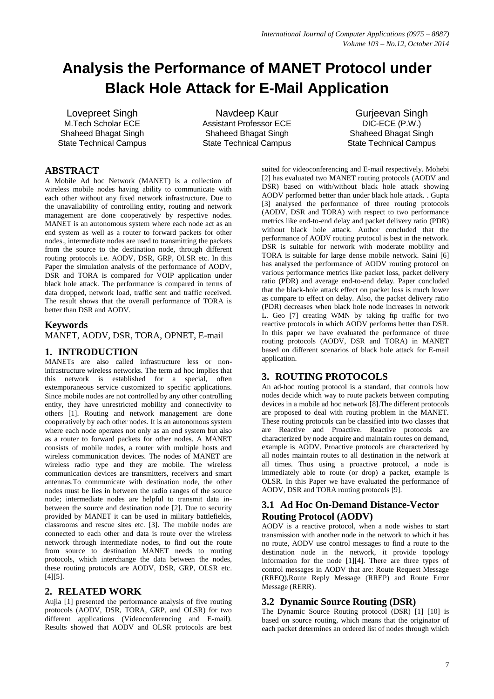# **Analysis the Performance of MANET Protocol under Black Hole Attack for E-Mail Application**

Lovepreet Singh M.Tech Scholar ECE Shaheed Bhagat Singh State Technical Campus

Navdeep Kaur Assistant Professor ECE Shaheed Bhagat Singh State Technical Campus

Gurjeevan Singh DIC-ECE (P.W.) Shaheed Bhagat Singh State Technical Campus

### **ABSTRACT**

A Mobile Ad hoc Network (MANET) is a collection of wireless mobile nodes having ability to communicate with each other without any fixed network infrastructure. Due to the unavailability of controlling entity, routing and network management are done cooperatively by respective nodes. MANET is an autonomous system where each node act as an end system as well as a router to forward packets for other nodes., intermediate nodes are used to transmitting the packets from the source to the destination node, through different routing protocols i.e. AODV, DSR, GRP, OLSR etc. In this Paper the simulation analysis of the performance of AODV, DSR and TORA is compared for VOIP application under black hole attack. The performance is compared in terms of data dropped, network load, traffic sent and traffic received. The result shows that the overall performance of TORA is better than DSR and AODV.

### **Keywords**

MANET, AODV, DSR, TORA, OPNET, E-mail

### **1. INTRODUCTION**

MANETs are also called infrastructure less or noninfrastructure wireless networks. The term ad hoc implies that this network is established for a special, often extemporaneous service customized to specific applications. Since mobile nodes are not controlled by any other controlling entity, they have unrestricted mobility and connectivity to others [1]. Routing and network management are done cooperatively by each other nodes. It is an autonomous system where each node operates not only as an end system but also as a router to forward packets for other nodes. A MANET consists of mobile nodes, a router with multiple hosts and wireless communication devices. The nodes of MANET are wireless radio type and they are mobile. The wireless communication devices are transmitters, receivers and smart antennas.To communicate with destination node, the other nodes must be lies in between the radio ranges of the source node; intermediate nodes are helpful to transmit data inbetween the source and destination node [2]. Due to security provided by MANET it can be used in military battlefields, classrooms and rescue sites etc. [3]. The mobile nodes are connected to each other and data is route over the wireless network through intermediate nodes, to find out the route from source to destination MANET needs to routing protocols, which interchange the data between the nodes, these routing protocols are AODV, DSR, GRP, OLSR etc. [4][5].

### **2. RELATED WORK**

Aujla [1] presented the performance analysis of five routing protocols (AODV, DSR, TORA, GRP, and OLSR) for two different applications (Videoconferencing and E-mail). Results showed that AODV and OLSR protocols are best suited for videoconferencing and E-mail respectively. Mohebi [2] has evaluated two MANET routing protocols (AODV and DSR) based on with/without black hole attack showing AODV performed better than under black hole attack. . Gupta [3] analysed the performance of three routing protocols (AODV, DSR and TORA) with respect to two performance metrics like end-to-end delay and packet delivery ratio (PDR) without black hole attack. Author concluded that the performance of AODV routing protocol is best in the network. DSR is suitable for network with moderate mobility and TORA is suitable for large dense mobile network. Saini [6] has analysed the performance of AODV routing protocol on various performance metrics like packet loss, packet delivery ratio (PDR) and average end-to-end delay. Paper concluded that the black-hole attack effect on packet loss is much lower as compare to effect on delay. Also, the packet delivery ratio (PDR) decreases when black hole node increases in network L. Geo [7] creating WMN by taking ftp traffic for two reactive protocols in which AODV performs better than DSR. In this paper we have evaluated the performance of three routing protocols (AODV, DSR and TORA) in MANET based on different scenarios of black hole attack for E-mail application.

# **3. ROUTING PROTOCOLS**

An ad-hoc routing protocol is a standard, that controls how nodes decide which way to route packets between computing devices in a mobile ad hoc network [8].The different protocols are proposed to deal with routing problem in the MANET. These routing protocols can be classified into two classes that are Reactive and Proactive. Reactive protocols are characterized by node acquire and maintain routes on demand, example is AODV. Proactive protocols are characterized by all nodes maintain routes to all destination in the network at all times. Thus using a proactive protocol, a node is immediately able to route (or drop) a packet, example is OLSR. In this Paper we have evaluated the performance of AODV, DSR and TORA routing protocols [9].

# **3.1 Ad Hoc On-Demand Distance-Vector Routing Protocol (AODV)**

AODV is a reactive protocol, when a node wishes to start transmission with another node in the network to which it has no route, AODV use control messages to find a route to the destination node in the network, it provide topology information for the node [1][4]. There are three types of control messages in AODV that are: Route Request Message (RREQ),Route Reply Message (RREP) and Route Error Message (RERR).

### **3.2 Dynamic Source Routing (DSR)**

The Dynamic Source Routing protocol (DSR) [1] [10] is based on source routing, which means that the originator of each packet determines an ordered list of nodes through which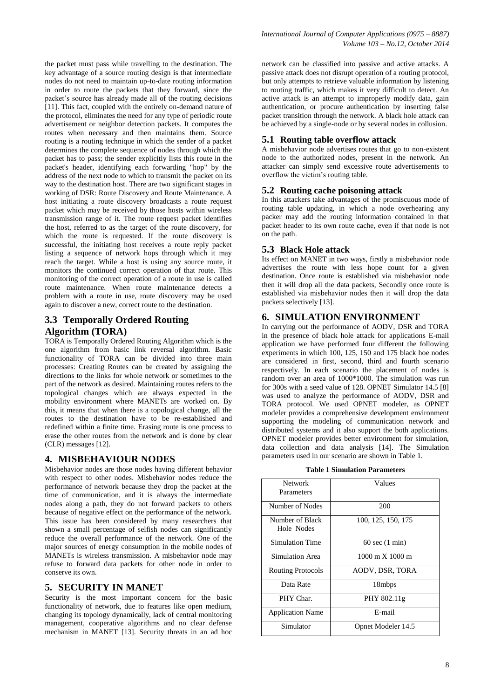the packet must pass while travelling to the destination. The key advantage of a source routing design is that intermediate nodes do not need to maintain up-to-date routing information in order to route the packets that they forward, since the packet's source has already made all of the routing decisions [11]. This fact, coupled with the entirely on-demand nature of the protocol, eliminates the need for any type of periodic route advertisement or neighbor detection packets. It computes the routes when necessary and then maintains them. Source routing is a routing technique in which the sender of a packet determines the complete sequence of nodes through which the packet has to pass; the sender explicitly lists this route in the packet's header, identifying each forwarding "hop" by the address of the next node to which to transmit the packet on its way to the destination host. There are two significant stages in working of DSR: Route Discovery and Route Maintenance. A host initiating a route discovery broadcasts a route request packet which may be received by those hosts within wireless transmission range of it. The route request packet identifies the host, referred to as the target of the route discovery, for which the route is requested. If the route discovery is successful, the initiating host receives a route reply packet listing a sequence of network hops through which it may reach the target. While a host is using any source route, it monitors the continued correct operation of that route. This monitoring of the correct operation of a route in use is called route maintenance. When route maintenance detects a problem with a route in use, route discovery may be used again to discover a new, correct route to the destination.

# **3.3 Temporally Ordered Routing Algorithm (TORA)**

TORA is Temporally Ordered Routing Algorithm which is the one algorithm from basic link reversal algorithm. Basic functionality of TORA can be divided into three main processes: Creating Routes can be created by assigning the directions to the links for whole network or sometimes to the part of the network as desired. Maintaining routes refers to the topological changes which are always expected in the mobility environment where MANETs are worked on. By this, it means that when there is a topological change, all the routes to the destination have to be re-established and redefined within a finite time. Erasing route is one process to erase the other routes from the network and is done by clear (CLR) messages [12].

### **4. MISBEHAVIOUR NODES**

Misbehavior nodes are those nodes having different behavior with respect to other nodes. Misbehavior nodes reduce the performance of network because they drop the packet at the time of communication, and it is always the intermediate nodes along a path, they do not forward packets to others because of negative effect on the performance of the network. This issue has been considered by many researchers that shown a small percentage of selfish nodes can significantly reduce the overall performance of the network. One of the major sources of energy consumption in the mobile nodes of MANETs is wireless transmission. A misbehavior node may refuse to forward data packets for other node in order to conserve its own.

### **5. SECURITY IN MANET**

Security is the most important concern for the basic functionality of network, due to features like open medium, changing its topology dynamically, lack of central monitoring management, cooperative algorithms and no clear defense mechanism in MANET [13]. Security threats in an ad hoc network can be classified into passive and active attacks. A passive attack does not disrupt operation of a routing protocol, but only attempts to retrieve valuable information by listening to routing traffic, which makes it very difficult to detect. An active attack is an attempt to improperly modify data, gain authentication, or procure authentication by inserting false packet transition through the network. A black hole attack can be achieved by a single-node or by several nodes in collusion.

# **5.1 Routing table overflow attack**

A misbehavior node advertises routes that go to non-existent node to the authorized nodes, present in the network. An attacker can simply send excessive route advertisements to overflow the victim's routing table.

# **5.2 Routing cache poisoning attack**

In this attackers take advantages of the promiscuous mode of routing table updating, in which a node overhearing any packer may add the routing information contained in that packet header to its own route cache, even if that node is not on the path.

# **5.3 Black Hole attack**

Its effect on MANET in two ways, firstly a misbehavior node advertises the route with less hope count for a given destination. Once route is established via misbehavior node then it will drop all the data packets, Secondly once route is established via misbehavior nodes then it will drop the data packets selectively [13].

# **6. SIMULATION ENVIRONMENT**

In carrying out the performance of AODV, DSR and TORA in the presence of black hole attack for applications E-mail application we have performed four different the following experiments in which 100, 125, 150 and 175 black hoe nodes are considered in first, second, third and fourth scenario respectively. In each scenario the placement of nodes is random over an area of 1000\*1000. The simulation was run for 300s with a seed value of 128. OPNET Simulator 14.5 [8] was used to analyze the performance of AODV, DSR and TORA protocol. We used OPNET modeler, as OPNET modeler provides a comprehensive development environment supporting the modeling of communication network and distributed systems and it also support the both applications. OPNET modeler provides better environment for simulation, data collection and data analysis [14]. The Simulation parameters used in our scenario are shown in Table 1.

|  |  | <b>Table 1 Simulation Parameters</b> |
|--|--|--------------------------------------|
|--|--|--------------------------------------|

| <b>Network</b>           | Values                                 |
|--------------------------|----------------------------------------|
| Parameters               |                                        |
|                          |                                        |
| Number of Nodes          | 200                                    |
|                          |                                        |
| Number of Black          | 100, 125, 150, 175                     |
| Hole Nodes               |                                        |
|                          |                                        |
| <b>Simulation Time</b>   | $60 \text{ sec} (1 \text{ min})$       |
|                          |                                        |
| Simulation Area          | $1000 \text{ m} \times 1000 \text{ m}$ |
|                          |                                        |
| <b>Routing Protocols</b> | AODV, DSR, TORA                        |
|                          |                                        |
| Data Rate                | 18mbps                                 |
|                          |                                        |
| PHY Char.                | PHY 802.11g                            |
|                          |                                        |
| <b>Application Name</b>  | E-mail                                 |
|                          |                                        |
| Simulator                | Opnet Modeler 14.5                     |
|                          |                                        |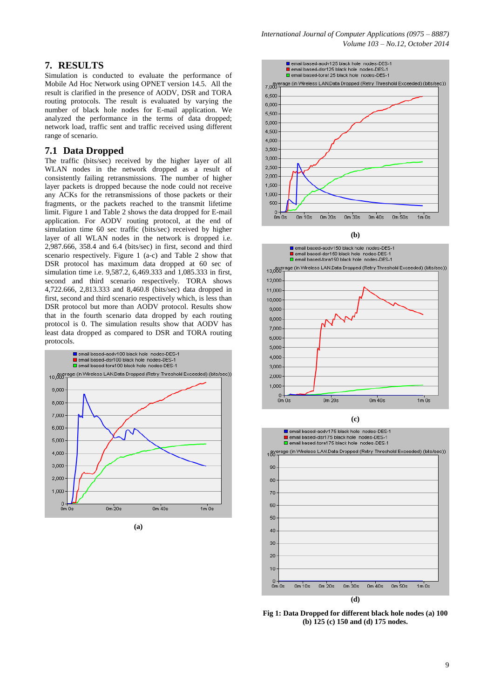#### **7. RESULTS**

Simulation is conducted to evaluate the performance of Mobile Ad Hoc Network using OPNET version 14.5. All the result is clarified in the presence of AODV, DSR and TORA routing protocols. The result is evaluated by varying the number of black hole nodes for E-mail application. We analyzed the performance in the terms of data dropped; network load, traffic sent and traffic received using different range of scenario.

#### **7.1 Data Dropped**

The traffic (bits/sec) received by the higher layer of all WLAN nodes in the network dropped as a result of consistently failing retransmissions. The number of higher layer packets is dropped because the node could not receive any ACKs for the retransmissions of those packets or their fragments, or the packets reached to the transmit lifetime limit. Figure 1 and Table 2 shows the data dropped for E-mail application. For AODV routing protocol, at the end of simulation time 60 sec traffic (bits/sec) received by higher layer of all WLAN nodes in the network is dropped i.e. 2,987.666, 358.4 and 6.4 (bits/sec) in first, second and third scenario respectively. Figure 1 (a-c) and Table 2 show that DSR protocol has maximum data dropped at 60 sec of simulation time i.e. 9,587.2, 6,469.333 and 1,085.333 in first, second and third scenario respectively. TORA shows 4,722.666, 2,813.333 and 8,460.8 (bits/sec) data dropped in first, second and third scenario respectively which, is less than DSR protocol but more than AODV protocol. Results show that in the fourth scenario data dropped by each routing protocol is 0. The simulation results show that AODV has least data dropped as compared to DSR and TORA routing protocols.



**(a)**



**(b)**





**Fig 1: Data Dropped for different black hole nodes (a) 100 (b) 125 (c) 150 and (d) 175 nodes.**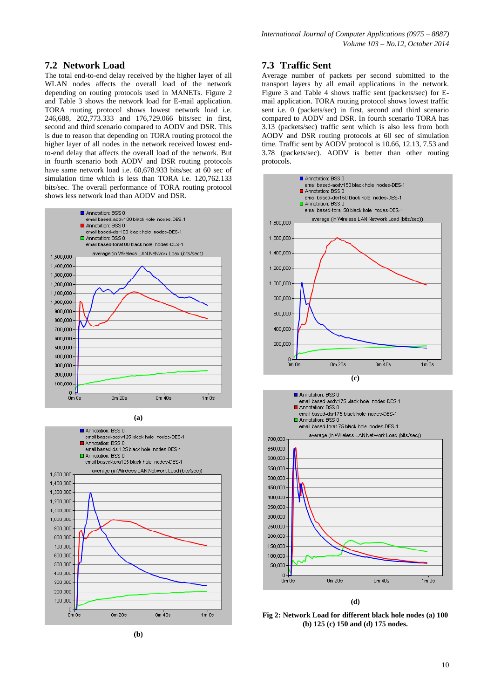### **7.2 Network Load**

The total end-to-end delay received by the higher layer of all WLAN nodes affects the overall load of the network depending on routing protocols used in MANETs. Figure 2 and Table 3 shows the network load for E-mail application. TORA routing protocol shows lowest network load i.e. 246,688, 202,773.333 and 176,729.066 bits/sec in first, second and third scenario compared to AODV and DSR. This is due to reason that depending on TORA routing protocol the higher layer of all nodes in the network received lowest endto-end delay that affects the overall load of the network. But in fourth scenario both AODV and DSR routing protocols have same network load i.e. 60,678.933 bits/sec at 60 sec of simulation time which is less than TORA i.e. 120,762.133 bits/sec. The overall performance of TORA routing protocol shows less network load than AODV and DSR.



**(a)** Annotation: BSS 0 email based-andy125 black hole, nodes-DES-1 Annotation: BSS 0 email based-dsr125 black hole\_nodes-DES-1 Annotation: BSS 0 email based-tora125 black hole nodes-DES-1 average (in Wireless LAN.Network Load (bits/sec))  $1.500,000$ 1,400,000 1,300,000 1,200,000 1,100,000 1,000,000 900,000 800,000 700,000 600,000 500,000 400,000 300,000 200,000 100,000  $\Omega$  $0m$  40s  $0m$   $0s$  $0m\overline{20s}$  $1m$ 0s



### **7.3 Traffic Sent**

Average number of packets per second submitted to the transport layers by all email applications in the network. Figure 3 and Table 4 shows traffic sent (packets/sec) for Email application. TORA routing protocol shows lowest traffic sent i.e. 0 (packets/sec) in first, second and third scenario compared to AODV and DSR. In fourth scenario TORA has 3.13 (packets/sec) traffic sent which is also less from both AODV and DSR routing protocols at 60 sec of simulation time. Traffic sent by AODV protocol is 10.66, 12.13, 7.53 and 3.78 (packets/sec). AODV is better than other routing protocols.





**Fig 2: Network Load for different black hole nodes (a) 100 (b) 125 (c) 150 and (d) 175 nodes.**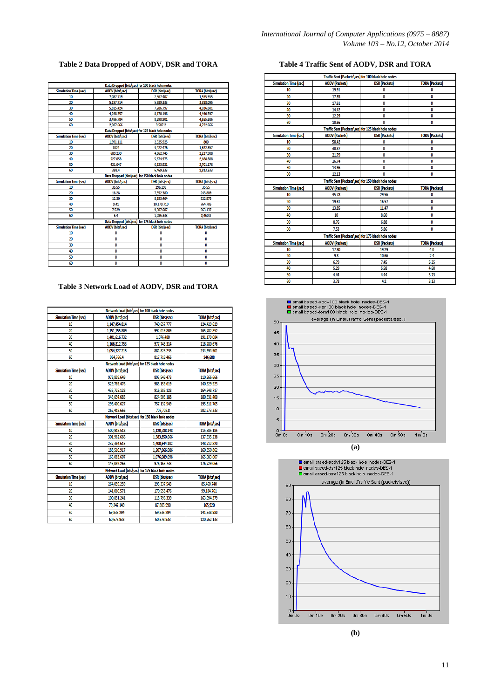### **Table 2 Data Dropped of AODV, DSR and TORA**

| Data Dropped (bits\sec) for 100 black hole nodes |                                                  |                                                  |                        |  |  |
|--------------------------------------------------|--------------------------------------------------|--------------------------------------------------|------------------------|--|--|
| <b>Simulation Time (sec)</b>                     | <b>AODV</b> (bits\sec)                           | <b>DSR</b> (bits\sec)                            | <b>TORA</b> (bits\sec) |  |  |
| 10                                               | 7,087.719                                        | 2.367.407                                        | 1.555.555              |  |  |
| 20                                               | 5,197.714                                        | 5,589.333                                        | 3,398.095              |  |  |
| 30                                               | 5,815.424                                        | 7.286.797                                        | 4.036.601              |  |  |
| 40                                               | 4,298.357                                        | 8,170.196                                        | 4.440.597              |  |  |
| 50                                               | 3,496.784                                        | 8.998.901                                        | 4,655.686              |  |  |
| 60                                               | 2.987.666                                        | 9.587.2                                          | 4,722.666              |  |  |
|                                                  |                                                  | Data Dropped (bits\sec) for 125 black hole nodes |                        |  |  |
| <b>Simulation Time (sec)</b>                     | <b>AODV</b> (bits\sec)                           | <b>DSR</b> (bits\sec)                            | <b>TORA</b> (bits\sec) |  |  |
| 10                                               | 1,991.111                                        | 2,325.925                                        | 800                    |  |  |
| 20                                               | 1024                                             | 3,422.476                                        | 1,622.857              |  |  |
| 30                                               | 689.230                                          | 4,862.745                                        | 2,237.908              |  |  |
| 40                                               | 527.058                                          | 5,674.975                                        | 2,488.888              |  |  |
| 50                                               | 421.647                                          | 6.123.921                                        | 2.701.176              |  |  |
| 60                                               | 358.4                                            | 6.469.333                                        | 2.813.333              |  |  |
|                                                  |                                                  | Data Dropped (bits\sec) for 150 black hole nodes |                        |  |  |
| <b>Simulation Time (sec)</b>                     | <b>AODV</b> (bits\sec)                           | <b>DSR</b> (bits\sec)                            | <b>TORA</b> (bits\sec) |  |  |
| 10                                               | 35.55                                            | 296.296                                          | 35.55                  |  |  |
| 20                                               | 18.28                                            | 7,352.380                                        | 243.809                |  |  |
| 30                                               | 12.30                                            | 8,193.464                                        | 522.875                |  |  |
| 40                                               | 9.41                                             | 10.179.710                                       | 764.705                |  |  |
| 50                                               | 7.529                                            | 9.307.607                                        | 963.137                |  |  |
| 60                                               | 6.4                                              | 1.085.333                                        | 8,460.8                |  |  |
|                                                  | Data Dropped (bits\sec) for 175 black hole nodes |                                                  |                        |  |  |
| <b>Simulation Time (sec)</b>                     | <b>AODV</b> (bits\sec)                           | <b>DSR</b> (bits\sec)                            | <b>TORA</b> (bits\sec) |  |  |
| 10                                               | 0                                                | 0                                                | 0                      |  |  |
| 20                                               | 0                                                | $\mathbf{0}$                                     | 0                      |  |  |
| 30                                               | 0                                                | 0                                                | 0                      |  |  |
| 40                                               | 0                                                | 0                                                | 0                      |  |  |
| 50                                               | 0                                                | 0                                                | 0                      |  |  |
| 60                                               | 0                                                | 0                                                | 0                      |  |  |

### **Table 3 Network Load of AODV, DSR and TORA**

| Network Load (bits\sec) for 100 black hole nodes |                                                  |                                                  |                        |  |
|--------------------------------------------------|--------------------------------------------------|--------------------------------------------------|------------------------|--|
| <b>Simulation Time (sec)</b>                     | <b>AODV</b> (bits\sec)                           | DSR (bits\sec)                                   | <b>TORA</b> (bits\sec) |  |
| 10                                               | 1,147,454.814                                    | 740,657.777                                      | 124,429.629            |  |
| 20                                               | 1,151,155.809                                    | 992,019.809                                      | 165,782.852            |  |
| 30                                               | 1,401,616.732                                    | 1,076,480                                        | 191,179.084            |  |
| 40                                               | 1,166,812.753                                    | 977,745.314                                      | 216,780.676            |  |
| 50                                               | 1,054,327.215                                    | 884,828.235                                      | 234,694.901            |  |
| 60                                               | 964,766.4                                        | 817,719.466                                      | 246,688                |  |
|                                                  |                                                  | Network Load (bits\sec) for 125 black hole nodes |                        |  |
| <b>Simulation Time (sec)</b>                     | <b>AODV</b> (bits\sec)                           | <b>DSR</b> (bits\sec)                            | <b>TORA</b> (bits\sec) |  |
| 10                                               | 978,899.649                                      | 893,549.473                                      | 110,266.666            |  |
| 20                                               | 529.789.476                                      | 985,159.619                                      | 140,929.523            |  |
| 30                                               | 435,725.128                                      | 916,285.128                                      | 164,348.717            |  |
| 40                                               | 343,694.685                                      | 824,503.188                                      | 180,931.400            |  |
| 50                                               | 298,400.627                                      | 757.132.549                                      | 195,811.705            |  |
| 60                                               | 262.418.666                                      | 707.708.8                                        | 202,773.333            |  |
|                                                  |                                                  | Network Load (bits\sec) for 150 black hole nodes |                        |  |
| <b>Simulation Time (sec)</b>                     | <b>AODV</b> (bits\sec)                           | <b>DSR</b> (bits\sec)                            | <b>TORA</b> (bits\sec) |  |
| 10                                               | 500,918.518                                      | 1,120,788.148                                    | 115,585.185            |  |
| 20                                               | 301,962.666                                      | 1,583,850.666                                    | 137,935.238            |  |
| 30                                               | 237.384.615                                      | 1,400,644.102                                    | 148,712.820            |  |
| 40                                               | 188,510.917                                      | 1,207,666.086                                    | 160.350.862            |  |
| 50                                               | 165,083.607                                      | 1,076,089.098                                    | 165,083.607            |  |
| 60                                               | 143,092.266                                      | 976.163.733                                      | 176,729.066            |  |
|                                                  | Network Load (bits\sec) for 175 black hole nodes |                                                  |                        |  |
| <b>Simulation Time (sec)</b>                     | <b>AODV</b> (bits\sec)                           | <b>DSR</b> (bits\sec)                            | <b>TORA</b> (bits\sec) |  |
| 10                                               | 264,059.259                                      | 295,337.543                                      | 85,460.740             |  |
| 20                                               | 141,060.571                                      | 170,558.476                                      | 99,184.761             |  |
| 30                                               | 100.851.241                                      | 118.796.339                                      | 163,094.379            |  |
| 40                                               | 79.247.149                                       | 87,805.990                                       | 165,920                |  |
| 50                                               | 69,835.294                                       | 69,835.294                                       | 141,338.980            |  |
| 60                                               | 60,678.933                                       | 60,678.933                                       | 120,762.133            |  |

### **Table 4 Traffic Sent of AODV, DSR and TORA**

| Traffic Sent (Packets\sec) for 100 black hole nodes |                                                     |                                                     |                       |  |
|-----------------------------------------------------|-----------------------------------------------------|-----------------------------------------------------|-----------------------|--|
| <b>Simulation Time (sec)</b>                        | <b>AODV</b> (Packets)                               | <b>DSR</b> (Packets)                                | <b>TORA (Packets)</b> |  |
| 10                                                  | 19.91                                               | 0                                                   | 0                     |  |
| 20                                                  | 17.85                                               | 0                                                   | 0                     |  |
| 30                                                  | 17.61                                               | 0                                                   | 0                     |  |
| 40                                                  | 14.42                                               | 0                                                   | 0                     |  |
| 50                                                  | 12.29                                               | 0                                                   | 0                     |  |
| 60                                                  | 10.66                                               | O                                                   | 0                     |  |
|                                                     |                                                     | Traffic Sent (Packets\sec) for 125 black hole nodes |                       |  |
| <b>Simulation Time (sec)</b>                        | <b>AODV</b> (Packets)                               | <b>DSR</b> (Packets)                                | <b>TORA</b> (Packets) |  |
| 10                                                  | 58.42                                               | 0                                                   | 0                     |  |
| 20                                                  | 30.87                                               | 0                                                   | 0                     |  |
| 30                                                  | 21.79                                               | 0                                                   | 0                     |  |
| 40                                                  | 16.74                                               | 0                                                   | 0                     |  |
| 50                                                  | 13.96                                               | 0                                                   | 0                     |  |
| 60                                                  | 12.13                                               | O                                                   | 0                     |  |
|                                                     |                                                     | Traffic Sent (Packets\sec) for 150 black hole nodes |                       |  |
| <b>Simulation Time (sec)</b>                        | <b>AODV (Packets)</b>                               | <b>DSR</b> (Packets)                                | <b>TORA</b> (Packets) |  |
| 10                                                  | 35.78                                               | 29.56                                               | 0                     |  |
| 20                                                  | 19.61                                               | 16.57                                               | 0                     |  |
| 30                                                  | 13.85                                               | 11.47                                               | 0                     |  |
| 40                                                  | 10                                                  | 8.60                                                | 0                     |  |
| 50                                                  | 8.76                                                | 6.88                                                | 0                     |  |
| 60                                                  | 7.53                                                | 5.86                                                | 0                     |  |
|                                                     | Traffic Sent (Packets\sec) for 175 black hole nodes |                                                     |                       |  |
| <b>Simulation Time (sec)</b>                        | <b>AODV</b> (Packets)                               | <b>DSR (Packets)</b>                                | <b>TORA</b> (Packets) |  |
| 10                                                  | 17.80                                               | 19.29                                               | 4.0                   |  |
| 20                                                  | 9.8                                                 | 10.66                                               | 2.4                   |  |
| 30                                                  | 6.79                                                | 7.45                                                | 5.35                  |  |
| 40                                                  | 5.29                                                | 5.58                                                | 4.60                  |  |
| 50                                                  | 4.44                                                | 4.44                                                | 3.73                  |  |
| 60                                                  | 3.78                                                | 4.2                                                 | 3.13                  |  |



**(a)**



**(b)**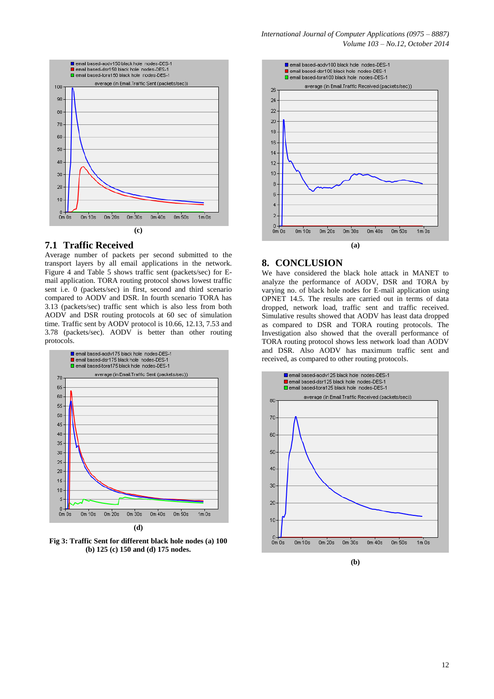

### **7.1 Traffic Received**

Average number of packets per second submitted to the transport layers by all email applications in the network. Figure 4 and Table 5 shows traffic sent (packets/sec) for Email application. TORA routing protocol shows lowest traffic sent i.e. 0 (packets/sec) in first, second and third scenario compared to AODV and DSR. In fourth scenario TORA has 3.13 (packets/sec) traffic sent which is also less from both AODV and DSR routing protocols at 60 sec of simulation time. Traffic sent by AODV protocol is 10.66, 12.13, 7.53 and 3.78 (packets/sec). AODV is better than other routing protocols.



**Fig 3: Traffic Sent for different black hole nodes (a) 100 (b) 125 (c) 150 and (d) 175 nodes.**



### **8. CONCLUSION**

We have considered the black hole attack in MANET to analyze the performance of AODV, DSR and TORA by varying no. of black hole nodes for E-mail application using OPNET 14.5. The results are carried out in terms of data dropped, network load, traffic sent and traffic received. Simulative results showed that AODV has least data dropped as compared to DSR and TORA routing protocols. The Investigation also showed that the overall performance of TORA routing protocol shows less network load than AODV and DSR. Also AODV has maximum traffic sent and received, as compared to other routing protocols.